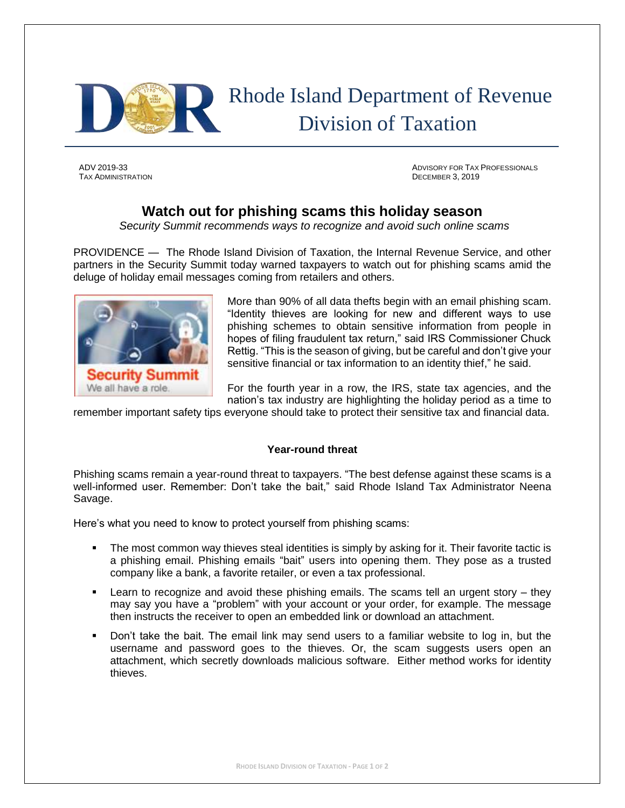

# Rhode Island Department of Revenue Division of Taxation

TAX ADMINISTRATION DECEMBER 3, 2019

ADV 2019-33 ADVISORY FOR TAX PROFESSIONALS

## **Watch out for phishing scams this holiday season**

*Security Summit recommends ways to recognize and avoid such online scams*

PROVIDENCE — The Rhode Island Division of Taxation, the Internal Revenue Service, and other partners in the Security Summit today warned taxpayers to watch out for phishing scams amid the deluge of holiday email messages coming from retailers and others.



More than 90% of all data thefts begin with an email phishing scam. "Identity thieves are looking for new and different ways to use phishing schemes to obtain sensitive information from people in hopes of filing fraudulent tax return," said IRS Commissioner Chuck Rettig. "This is the season of giving, but be careful and don't give your sensitive financial or tax information to an identity thief," he said.

For the fourth year in a row, the IRS, state tax agencies, and the nation's tax industry are highlighting the holiday period as a time to

remember important safety tips everyone should take to protect their sensitive tax and financial data.

### **Year-round threat**

Phishing scams remain a year-round threat to taxpayers. "The best defense against these scams is a well-informed user. Remember: Don't take the bait," said Rhode Island Tax Administrator Neena Savage.

Here's what you need to know to protect yourself from phishing scams:

- **•** The most common way thieves steal identities is simply by asking for it. Their favorite tactic is a phishing email. Phishing emails "bait" users into opening them. They pose as a trusted company like a bank, a favorite retailer, or even a tax professional.
- Learn to recognize and avoid these phishing emails. The scams tell an urgent story they may say you have a "problem" with your account or your order, for example. The message then instructs the receiver to open an embedded link or download an attachment.
- Don't take the bait. The email link may send users to a familiar website to log in, but the username and password goes to the thieves. Or, the scam suggests users open an attachment, which secretly downloads malicious software. Either method works for identity thieves.